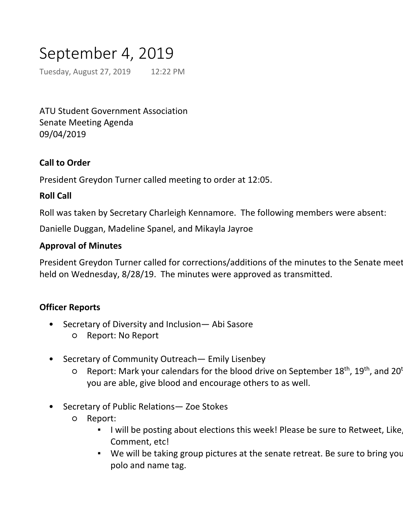# September 4, 2019

Tuesday, August 27, 2019 12:22 PM

ATU Student Government Association Senate Meeting Agenda 09/04/2019

# **Call to Order**

President Greydon Turner called meeting to order at 12:05.

### **Roll Call**

Roll was taken by Secretary Charleigh Kennamore. The following members were absent:

Danielle Duggan, Madeline Spanel, and Mikayla Jayroe

#### **Approval of Minutes**

President Greydon Turner called for corrections/additions of the minutes to the Senate meet held on Wednesday, 8/28/19. The minutes were approved as transmitted.

# **Officer Reports**

- Secretary of Diversity and Inclusion— Abi Sasore •
	- Report: No Report
- Secretary of Community Outreach— Emily Lisenbey •
	- Report: Mark your calendars for the blood drive on September 18<sup>th</sup>, 19<sup>th</sup>, and 20<sup>t</sup> you are able, give blood and encourage others to as well.  $\overline{O}$
- Secretary of Public Relations— Zoe Stokes •
	- Report:  $\overline{O}$ 
		- I will be posting about elections this week! Please be sure to Retweet, Like, Comment, etc! ▪
		- . We will be taking group pictures at the senate retreat. Be sure to bring you polo and name tag.
- Secretary of Internal Affairs— Charleigh Kennamore  $\bullet$ 
	- Report: THANK YOU to everyone who helped with elections and tabling! We doubled the amount of people who voted, so good job getting the word out! ▪ I will be getting all of the polos and nametags ordered for the new senators. ○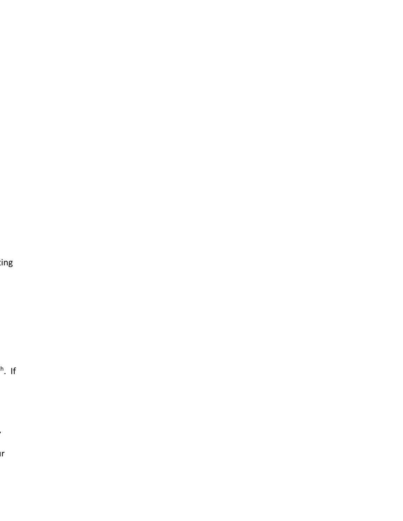ing

 $\mathbb{R}^{\mathsf{h}}$ . If

 $\overline{\phantom{a}}$  $\mathsf{I} \mathsf{r}$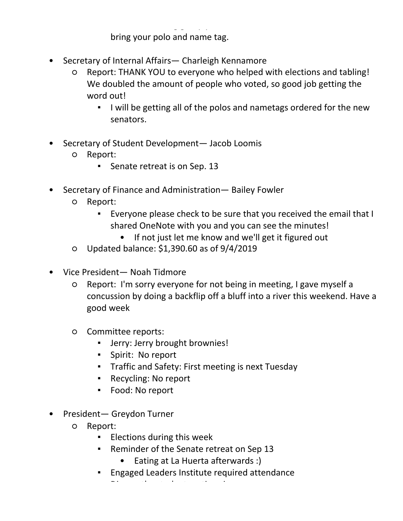I will be posting about elections this week! Please be sure to Retweet, Like, Comment, etc! ▪

We will be taking group pictures at the senate retreat. Be sure to

bring your polo and name tag.

- Secretary of Internal Affairs— Charleigh Kennamore •
	- Report: THANK YOU to everyone who helped with elections and tabling! We doubled the amount of people who voted, so good job getting the word out! ○
		- I will be getting all of the polos and nametags ordered for the new senators. ▪
- Secretary of Student Development- Jacob Loomis
	- Report: ○
		- Senate retreat is on Sep. 13
- Secretary of Finance and Administration— Bailey Fowler •
	- Report:  $\overline{O}$ 
		- Everyone please check to be sure that you received the email that I shared OneNote with you and you can see the minutes! ▪
			- If not just let me know and we'll get it figured out
	- Updated balance: \$1,390.60 as of 9/4/2019
- Vice President- Noah Tidmore
	- Report: I'm sorry everyone for not being in meeting, I gave myself a concussion by doing a backflip off a bluff into a river this weekend. Have a good week  $\circ$
	- Committee reports:  $\circ$ 
		- Jerry: Jerry brought brownies!
		- Spirit: No report
		- Traffic and Safety: First meeting is next Tuesday
		- Recycling: No report
		- Food: No report
- President- Greydon Turner
	- Report:  $\overline{O}$ 
		- Elections during this week
		- Reminder of the Senate retreat on Sep 13 ▪

Discuss the student section sign

- Eating at La Huerta afterwards :)
- Engaged Leaders Institute required attendance
	- T Zone